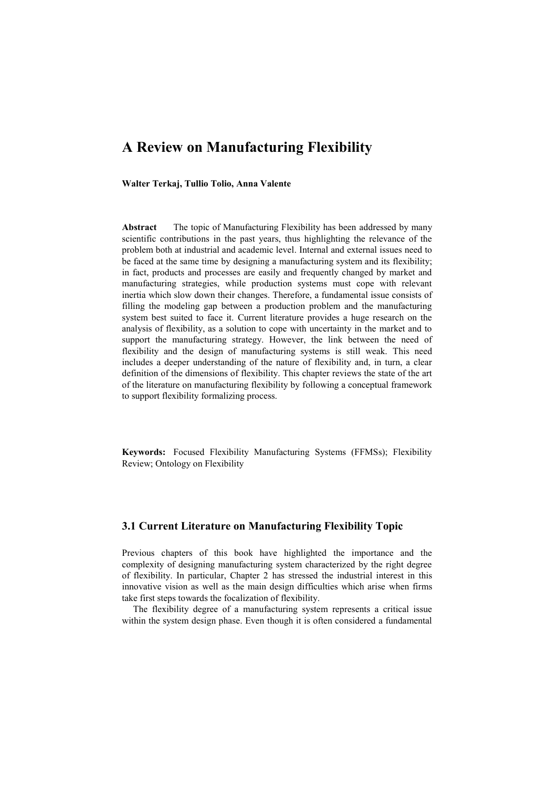# **A Review on Manufacturing Flexibility**

#### **Walter Terkaj, Tullio Tolio, Anna Valente**

**Abstract** The topic of Manufacturing Flexibility has been addressed by many scientific contributions in the past years, thus highlighting the relevance of the problem both at industrial and academic level. Internal and external issues need to be faced at the same time by designing a manufacturing system and its flexibility; in fact, products and processes are easily and frequently changed by market and manufacturing strategies, while production systems must cope with relevant inertia which slow down their changes. Therefore, a fundamental issue consists of filling the modeling gap between a production problem and the manufacturing system best suited to face it. Current literature provides a huge research on the analysis of flexibility, as a solution to cope with uncertainty in the market and to support the manufacturing strategy. However, the link between the need of flexibility and the design of manufacturing systems is still weak. This need includes a deeper understanding of the nature of flexibility and, in turn, a clear definition of the dimensions of flexibility. This chapter reviews the state of the art of the literature on manufacturing flexibility by following a conceptual framework to support flexibility formalizing process.

**Keywords:** Focused Flexibility Manufacturing Systems (FFMSs); Flexibility Review; Ontology on Flexibility

## **3.1 Current Literature on Manufacturing Flexibility Topic**

Previous chapters of this book have highlighted the importance and the complexity of designing manufacturing system characterized by the right degree of flexibility. In particular, Chapter 2 has stressed the industrial interest in this innovative vision as well as the main design difficulties which arise when firms take first steps towards the focalization of flexibility.

The flexibility degree of a manufacturing system represents a critical issue within the system design phase. Even though it is often considered a fundamental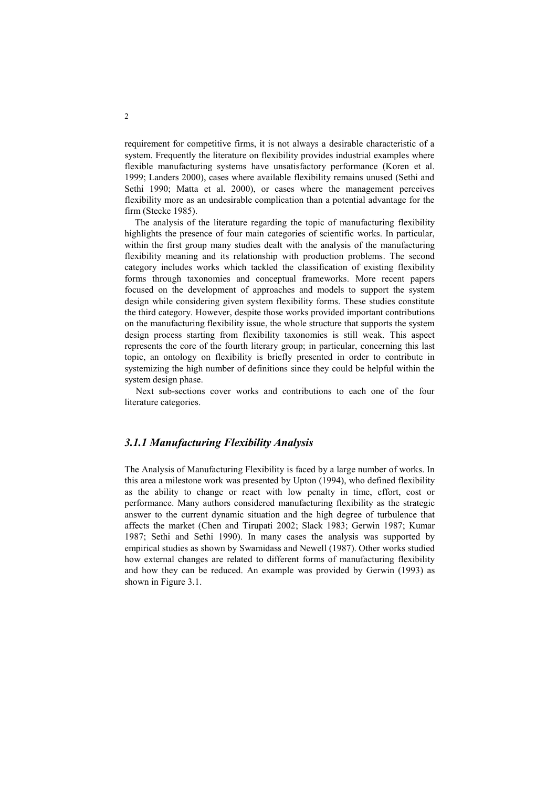requirement for competitive firms, it is not always a desirable characteristic of a system. Frequently the literature on flexibility provides industrial examples where flexible manufacturing systems have unsatisfactory performance (Koren et al. 1999; Landers 2000), cases where available flexibility remains unused (Sethi and Sethi 1990; Matta et al. 2000), or cases where the management perceives flexibility more as an undesirable complication than a potential advantage for the firm (Stecke 1985).

The analysis of the literature regarding the topic of manufacturing flexibility highlights the presence of four main categories of scientific works. In particular, within the first group many studies dealt with the analysis of the manufacturing flexibility meaning and its relationship with production problems. The second category includes works which tackled the classification of existing flexibility forms through taxonomies and conceptual frameworks. More recent papers focused on the development of approaches and models to support the system design while considering given system flexibility forms. These studies constitute the third category. However, despite those works provided important contributions on the manufacturing flexibility issue, the whole structure that supports the system design process starting from flexibility taxonomies is still weak. This aspect represents the core of the fourth literary group; in particular, concerning this last topic, an ontology on flexibility is briefly presented in order to contribute in systemizing the high number of definitions since they could be helpful within the system design phase.

Next sub-sections cover works and contributions to each one of the four literature categories.

## *3.1.1 Manufacturing Flexibility Analysis*

The Analysis of Manufacturing Flexibility is faced by a large number of works. In this area a milestone work was presented by Upton (1994), who defined flexibility as the ability to change or react with low penalty in time, effort, cost or performance. Many authors considered manufacturing flexibility as the strategic answer to the current dynamic situation and the high degree of turbulence that affects the market (Chen and Tirupati 2002; Slack 1983; Gerwin 1987; Kumar 1987; Sethi and Sethi 1990). In many cases the analysis was supported by empirical studies as shown by Swamidass and Newell (1987). Other works studied how external changes are related to different forms of manufacturing flexibility and how they can be reduced. An example was provided by Gerwin (1993) as shown in Figure 3.1.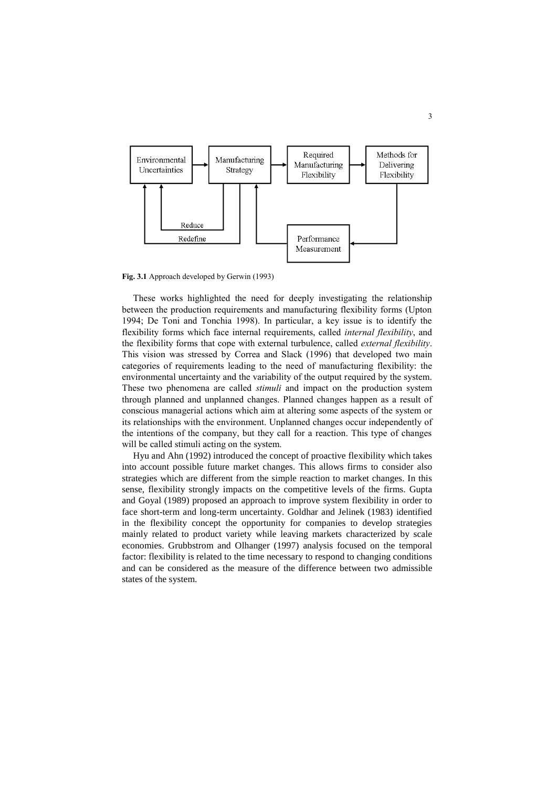

**Fig. 3.1** Approach developed by Gerwin (1993)

These works highlighted the need for deeply investigating the relationship between the production requirements and manufacturing flexibility forms (Upton 1994; De Toni and Tonchia 1998). In particular, a key issue is to identify the flexibility forms which face internal requirements, called *internal flexibility*, and the flexibility forms that cope with external turbulence, called *external flexibility*. This vision was stressed by Correa and Slack (1996) that developed two main categories of requirements leading to the need of manufacturing flexibility: the environmental uncertainty and the variability of the output required by the system. These two phenomena are called *stimuli* and impact on the production system through planned and unplanned changes. Planned changes happen as a result of conscious managerial actions which aim at altering some aspects of the system or its relationships with the environment. Unplanned changes occur independently of the intentions of the company, but they call for a reaction. This type of changes will be called stimuli acting on the system.

Hyu and Ahn (1992) introduced the concept of proactive flexibility which takes into account possible future market changes. This allows firms to consider also strategies which are different from the simple reaction to market changes. In this sense, flexibility strongly impacts on the competitive levels of the firms. Gupta and Goyal (1989) proposed an approach to improve system flexibility in order to face short-term and long-term uncertainty. Goldhar and Jelinek (1983) identified in the flexibility concept the opportunity for companies to develop strategies mainly related to product variety while leaving markets characterized by scale economies. Grubbstrom and Olhanger (1997) analysis focused on the temporal factor: flexibility is related to the time necessary to respond to changing conditions and can be considered as the measure of the difference between two admissible states of the system.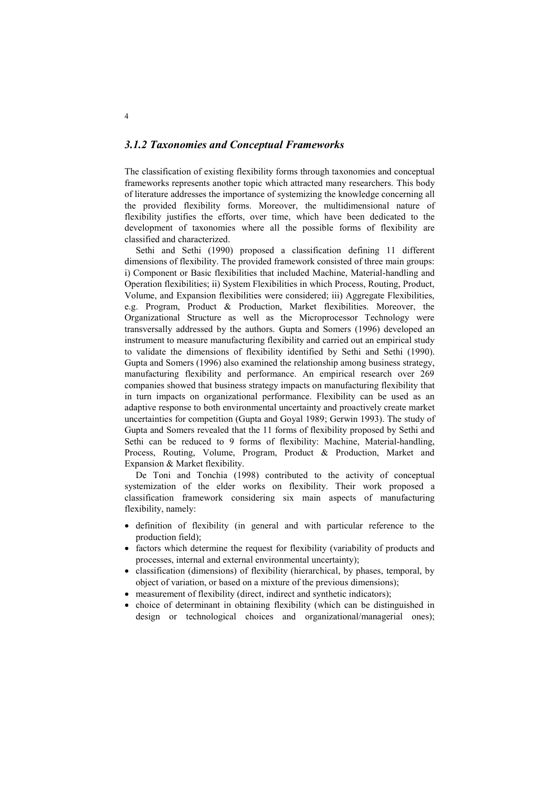#### *3.1.2 Taxonomies and Conceptual Frameworks*

The classification of existing flexibility forms through taxonomies and conceptual frameworks represents another topic which attracted many researchers. This body of literature addresses the importance of systemizing the knowledge concerning all the provided flexibility forms. Moreover, the multidimensional nature of flexibility justifies the efforts, over time, which have been dedicated to the development of taxonomies where all the possible forms of flexibility are classified and characterized.

Sethi and Sethi (1990) proposed a classification defining 11 different dimensions of flexibility. The provided framework consisted of three main groups: i) Component or Basic flexibilities that included Machine, Material-handling and Operation flexibilities; ii) System Flexibilities in which Process, Routing, Product, Volume, and Expansion flexibilities were considered; iii) Aggregate Flexibilities, e.g. Program, Product & Production, Market flexibilities. Moreover, the Organizational Structure as well as the Microprocessor Technology were transversally addressed by the authors. Gupta and Somers (1996) developed an instrument to measure manufacturing flexibility and carried out an empirical study to validate the dimensions of flexibility identified by Sethi and Sethi (1990). Gupta and Somers (1996) also examined the relationship among business strategy, manufacturing flexibility and performance. An empirical research over 269 companies showed that business strategy impacts on manufacturing flexibility that in turn impacts on organizational performance. Flexibility can be used as an adaptive response to both environmental uncertainty and proactively create market uncertainties for competition (Gupta and Goyal 1989; Gerwin 1993). The study of Gupta and Somers revealed that the 11 forms of flexibility proposed by Sethi and Sethi can be reduced to 9 forms of flexibility: Machine, Material-handling, Process, Routing, Volume, Program, Product & Production, Market and Expansion & Market flexibility.

De Toni and Tonchia (1998) contributed to the activity of conceptual systemization of the elder works on flexibility. Their work proposed a classification framework considering six main aspects of manufacturing flexibility, namely:

- definition of flexibility (in general and with particular reference to the production field);
- factors which determine the request for flexibility (variability of products and processes, internal and external environmental uncertainty);
- classification (dimensions) of flexibility (hierarchical, by phases, temporal, by object of variation, or based on a mixture of the previous dimensions);
- measurement of flexibility (direct, indirect and synthetic indicators);
- choice of determinant in obtaining flexibility (which can be distinguished in design or technological choices and organizational/managerial ones);

4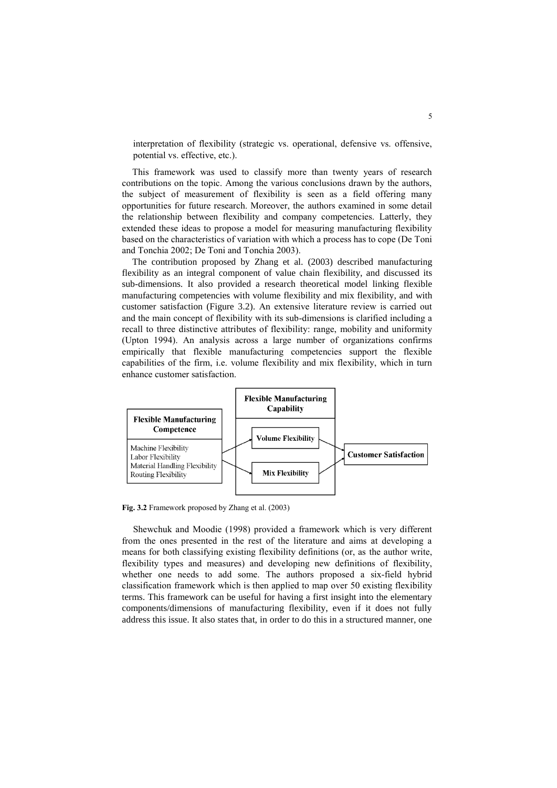interpretation of flexibility (strategic vs. operational, defensive vs. offensive, potential vs. effective, etc.).

This framework was used to classify more than twenty years of research contributions on the topic. Among the various conclusions drawn by the authors, the subject of measurement of flexibility is seen as a field offering many opportunities for future research. Moreover, the authors examined in some detail the relationship between flexibility and company competencies. Latterly, they extended these ideas to propose a model for measuring manufacturing flexibility based on the characteristics of variation with which a process has to cope (De Toni and Tonchia 2002; De Toni and Tonchia 2003).

The contribution proposed by Zhang et al. (2003) described manufacturing flexibility as an integral component of value chain flexibility, and discussed its sub-dimensions. It also provided a research theoretical model linking flexible manufacturing competencies with volume flexibility and mix flexibility, and with customer satisfaction (Figure 3.2). An extensive literature review is carried out and the main concept of flexibility with its sub-dimensions is clarified including a recall to three distinctive attributes of flexibility: range, mobility and uniformity (Upton 1994). An analysis across a large number of organizations confirms empirically that flexible manufacturing competencies support the flexible capabilities of the firm, i.e. volume flexibility and mix flexibility, which in turn enhance customer satisfaction.



**Fig. 3.2** Framework proposed by Zhang et al. (2003)

Shewchuk and Moodie (1998) provided a framework which is very different from the ones presented in the rest of the literature and aims at developing a means for both classifying existing flexibility definitions (or, as the author write, flexibility types and measures) and developing new definitions of flexibility, whether one needs to add some. The authors proposed a six-field hybrid classification framework which is then applied to map over 50 existing flexibility terms. This framework can be useful for having a first insight into the elementary components/dimensions of manufacturing flexibility, even if it does not fully address this issue. It also states that, in order to do this in a structured manner, one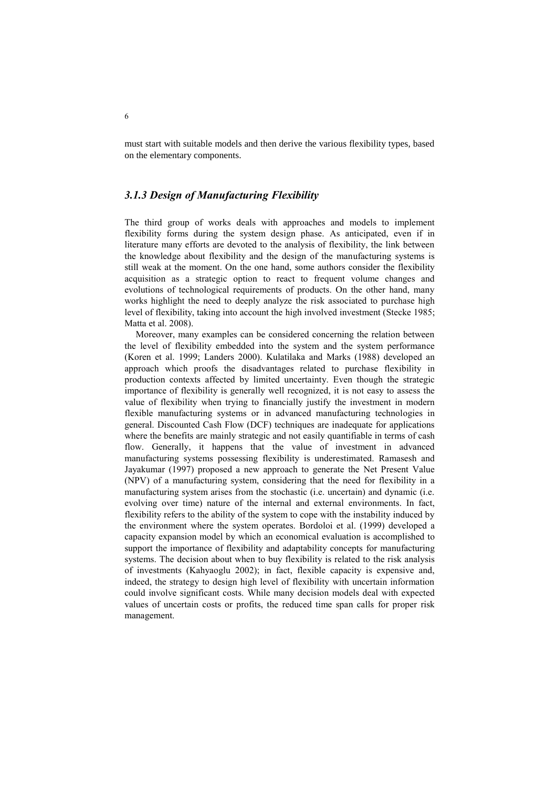must start with suitable models and then derive the various flexibility types, based on the elementary components.

# *3.1.3 Design of Manufacturing Flexibility*

The third group of works deals with approaches and models to implement flexibility forms during the system design phase. As anticipated, even if in literature many efforts are devoted to the analysis of flexibility, the link between the knowledge about flexibility and the design of the manufacturing systems is still weak at the moment. On the one hand, some authors consider the flexibility acquisition as a strategic option to react to frequent volume changes and evolutions of technological requirements of products. On the other hand, many works highlight the need to deeply analyze the risk associated to purchase high level of flexibility, taking into account the high involved investment (Stecke 1985; Matta et al. 2008).

Moreover, many examples can be considered concerning the relation between the level of flexibility embedded into the system and the system performance (Koren et al. 1999; Landers 2000). Kulatilaka and Marks (1988) developed an approach which proofs the disadvantages related to purchase flexibility in production contexts affected by limited uncertainty. Even though the strategic importance of flexibility is generally well recognized, it is not easy to assess the value of flexibility when trying to financially justify the investment in modern flexible manufacturing systems or in advanced manufacturing technologies in general. Discounted Cash Flow (DCF) techniques are inadequate for applications where the benefits are mainly strategic and not easily quantifiable in terms of cash flow. Generally, it happens that the value of investment in advanced manufacturing systems possessing flexibility is underestimated. Ramasesh and Jayakumar (1997) proposed a new approach to generate the Net Present Value (NPV) of a manufacturing system, considering that the need for flexibility in a manufacturing system arises from the stochastic (i.e. uncertain) and dynamic (i.e. evolving over time) nature of the internal and external environments. In fact, flexibility refers to the ability of the system to cope with the instability induced by the environment where the system operates. Bordoloi et al. (1999) developed a capacity expansion model by which an economical evaluation is accomplished to support the importance of flexibility and adaptability concepts for manufacturing systems. The decision about when to buy flexibility is related to the risk analysis of investments (Kahyaoglu 2002); in fact, flexible capacity is expensive and, indeed, the strategy to design high level of flexibility with uncertain information could involve significant costs. While many decision models deal with expected values of uncertain costs or profits, the reduced time span calls for proper risk management.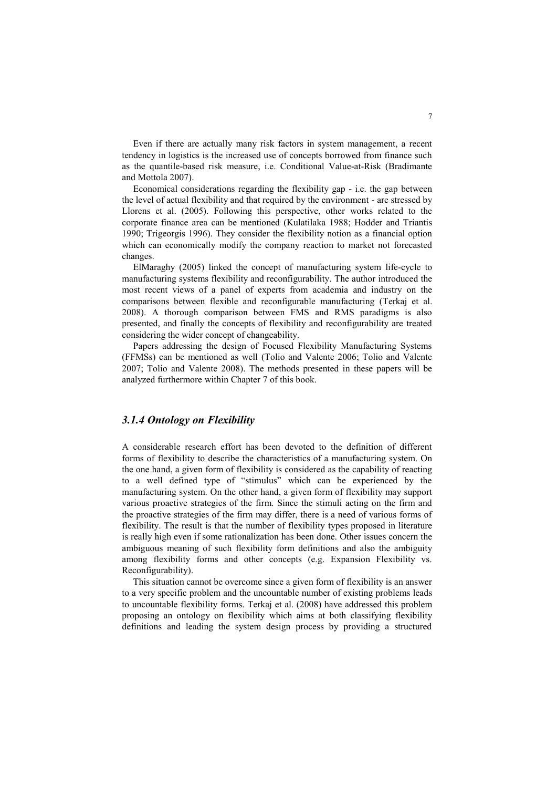Even if there are actually many risk factors in system management, a recent tendency in logistics is the increased use of concepts borrowed from finance such as the quantile-based risk measure, i.e. Conditional Value-at-Risk (Bradimante and Mottola 2007).

Economical considerations regarding the flexibility gap - i.e. the gap between the level of actual flexibility and that required by the environment - are stressed by Llorens et al. (2005). Following this perspective, other works related to the corporate finance area can be mentioned (Kulatilaka 1988; Hodder and Triantis 1990; Trigeorgis 1996). They consider the flexibility notion as a financial option which can economically modify the company reaction to market not forecasted changes.

ElMaraghy (2005) linked the concept of manufacturing system life-cycle to manufacturing systems flexibility and reconfigurability. The author introduced the most recent views of a panel of experts from academia and industry on the comparisons between flexible and reconfigurable manufacturing (Terkaj et al. 2008). A thorough comparison between FMS and RMS paradigms is also presented, and finally the concepts of flexibility and reconfigurability are treated considering the wider concept of changeability.

Papers addressing the design of Focused Flexibility Manufacturing Systems (FFMSs) can be mentioned as well (Tolio and Valente 2006; Tolio and Valente 2007; Tolio and Valente 2008). The methods presented in these papers will be analyzed furthermore within Chapter 7 of this book.

#### *3.1.4 Ontology on Flexibility*

A considerable research effort has been devoted to the definition of different forms of flexibility to describe the characteristics of a manufacturing system. On the one hand, a given form of flexibility is considered as the capability of reacting to a well defined type of "stimulus" which can be experienced by the manufacturing system. On the other hand, a given form of flexibility may support various proactive strategies of the firm. Since the stimuli acting on the firm and the proactive strategies of the firm may differ, there is a need of various forms of flexibility. The result is that the number of flexibility types proposed in literature is really high even if some rationalization has been done. Other issues concern the ambiguous meaning of such flexibility form definitions and also the ambiguity among flexibility forms and other concepts (e.g. Expansion Flexibility vs. Reconfigurability).

This situation cannot be overcome since a given form of flexibility is an answer to a very specific problem and the uncountable number of existing problems leads to uncountable flexibility forms. Terkaj et al. (2008) have addressed this problem proposing an ontology on flexibility which aims at both classifying flexibility definitions and leading the system design process by providing a structured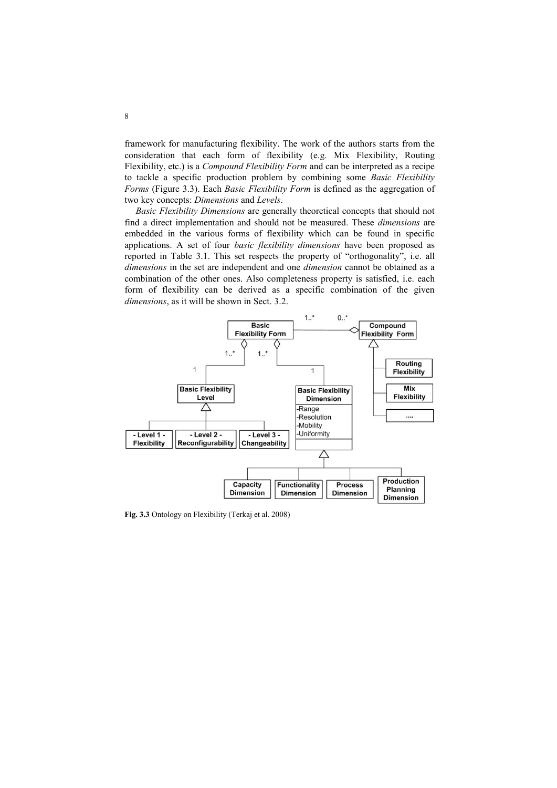framework for manufacturing flexibility. The work of the authors starts from the consideration that each form of flexibility (e.g. Mix Flexibility, Routing Flexibility, etc.) is a *Compound Flexibility Form* and can be interpreted as a recipe to tackle a specific production problem by combining some *Basic Flexibility Forms* (Figure 3.3). Each *Basic Flexibility Form* is defined as the aggregation of two key concepts: *Dimensions* and *Levels*.

*Basic Flexibility Dimensions* are generally theoretical concepts that should not find a direct implementation and should not be measured. These *dimensions* are embedded in the various forms of flexibility which can be found in specific applications. A set of four *basic flexibility dimensions* have been proposed as reported in Table 3.1. This set respects the property of "orthogonality", i.e. all *dimensions* in the set are independent and one *dimension* cannot be obtained as a combination of the other ones. Also completeness property is satisfied, i.e. each form of flexibility can be derived as a specific combination of the given *dimensions*, as it will be shown in Sect. 3.2.



**Fig. 3.3** Ontology on Flexibility (Terkaj et al. 2008)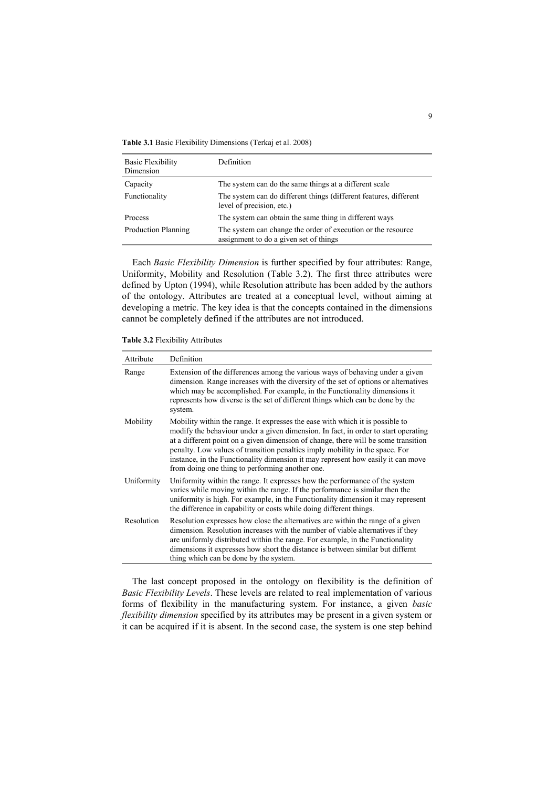**Table 3.1** Basic Flexibility Dimensions (Terkaj et al. 2008)

| <b>Basic Flexibility</b><br>Dimension | Definition                                                                                             |
|---------------------------------------|--------------------------------------------------------------------------------------------------------|
| Capacity                              | The system can do the same things at a different scale                                                 |
| Functionality                         | The system can do different things (different features, different<br>level of precision, etc.)         |
| Process                               | The system can obtain the same thing in different ways                                                 |
| <b>Production Planning</b>            | The system can change the order of execution or the resource<br>assignment to do a given set of things |

Each *Basic Flexibility Dimension* is further specified by four attributes: Range, Uniformity, Mobility and Resolution (Table 3.2). The first three attributes were defined by Upton (1994), while Resolution attribute has been added by the authors of the ontology. Attributes are treated at a conceptual level, without aiming at developing a metric. The key idea is that the concepts contained in the dimensions cannot be completely defined if the attributes are not introduced.

**Table 3.2** Flexibility Attributes

| Attribute  | Definition                                                                                                                                                                                                                                                                                                                                                                                                                                                                       |
|------------|----------------------------------------------------------------------------------------------------------------------------------------------------------------------------------------------------------------------------------------------------------------------------------------------------------------------------------------------------------------------------------------------------------------------------------------------------------------------------------|
| Range      | Extension of the differences among the various ways of behaving under a given<br>dimension. Range increases with the diversity of the set of options or alternatives<br>which may be accomplished. For example, in the Functionality dimensions it<br>represents how diverse is the set of different things which can be done by the<br>system.                                                                                                                                  |
| Mobility   | Mobility within the range. It expresses the ease with which it is possible to<br>modify the behaviour under a given dimension. In fact, in order to start operating<br>at a different point on a given dimension of change, there will be some transition<br>penalty. Low values of transition penalties imply mobility in the space. For<br>instance, in the Functionality dimension it may represent how easily it can move<br>from doing one thing to performing another one. |
| Uniformity | Uniformity within the range. It expresses how the performance of the system<br>varies while moving within the range. If the performance is similar then the<br>uniformity is high. For example, in the Functionality dimension it may represent<br>the difference in capability or costs while doing different things.                                                                                                                                                           |
| Resolution | Resolution expresses how close the alternatives are within the range of a given<br>dimension. Resolution increases with the number of viable alternatives if they<br>are uniformly distributed within the range. For example, in the Functionality<br>dimensions it expresses how short the distance is between similar but differnt<br>thing which can be done by the system.                                                                                                   |

The last concept proposed in the ontology on flexibility is the definition of *Basic Flexibility Levels*. These levels are related to real implementation of various forms of flexibility in the manufacturing system. For instance, a given *basic flexibility dimension* specified by its attributes may be present in a given system or it can be acquired if it is absent. In the second case, the system is one step behind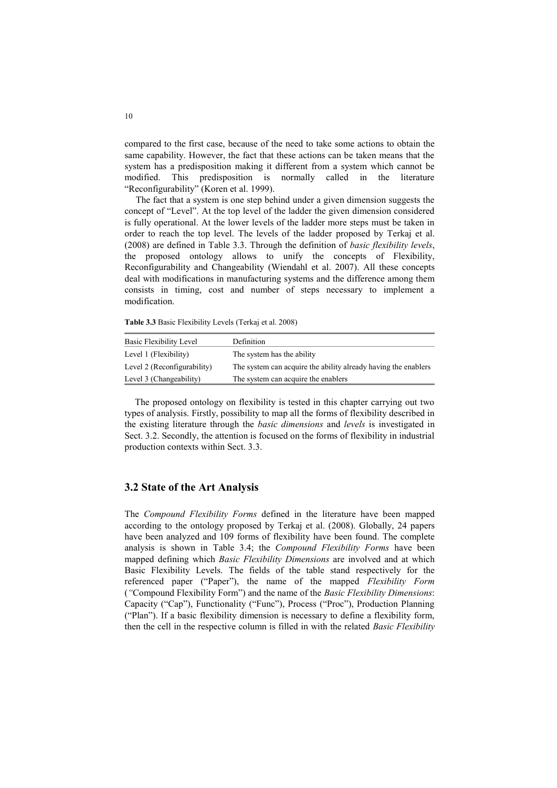compared to the first case, because of the need to take some actions to obtain the same capability. However, the fact that these actions can be taken means that the system has a predisposition making it different from a system which cannot be modified. This predisposition is normally called in the literature "Reconfigurability" (Koren et al. 1999).

The fact that a system is one step behind under a given dimension suggests the concept of "Level". At the top level of the ladder the given dimension considered is fully operational. At the lower levels of the ladder more steps must be taken in order to reach the top level. The levels of the ladder proposed by Terkaj et al. (2008) are defined in Table 3.3. Through the definition of *basic flexibility levels*, the proposed ontology allows to unify the concepts of Flexibility, Reconfigurability and Changeability (Wiendahl et al. 2007). All these concepts deal with modifications in manufacturing systems and the difference among them consists in timing, cost and number of steps necessary to implement a modification.

**Table 3.3** Basic Flexibility Levels (Terkaj et al. 2008)

| Basic Flexibility Level     | Definition                                                     |
|-----------------------------|----------------------------------------------------------------|
| Level 1 (Flexibility)       | The system has the ability                                     |
| Level 2 (Reconfigurability) | The system can acquire the ability already having the enablers |
| Level 3 (Changeability)     | The system can acquire the enablers                            |

The proposed ontology on flexibility is tested in this chapter carrying out two types of analysis. Firstly, possibility to map all the forms of flexibility described in the existing literature through the *basic dimensions* and *levels* is investigated in Sect. 3.2. Secondly, the attention is focused on the forms of flexibility in industrial production contexts within Sect. 3.3.

#### **3.2 State of the Art Analysis**

The *Compound Flexibility Forms* defined in the literature have been mapped according to the ontology proposed by Terkaj et al. (2008). Globally, 24 papers have been analyzed and 109 forms of flexibility have been found. The complete analysis is shown in Table 3.4; the *Compound Flexibility Forms* have been mapped defining which *Basic Flexibility Dimensions* are involved and at which Basic Flexibility Levels. The fields of the table stand respectively for the referenced paper ("Paper"), the name of the mapped *Flexibility Form*  (*"*Compound Flexibility Form") and the name of the *Basic Flexibility Dimensions*: Capacity ("Cap"), Functionality ("Func"), Process ("Proc"), Production Planning ("Plan"). If a basic flexibility dimension is necessary to define a flexibility form, then the cell in the respective column is filled in with the related *Basic Flexibility*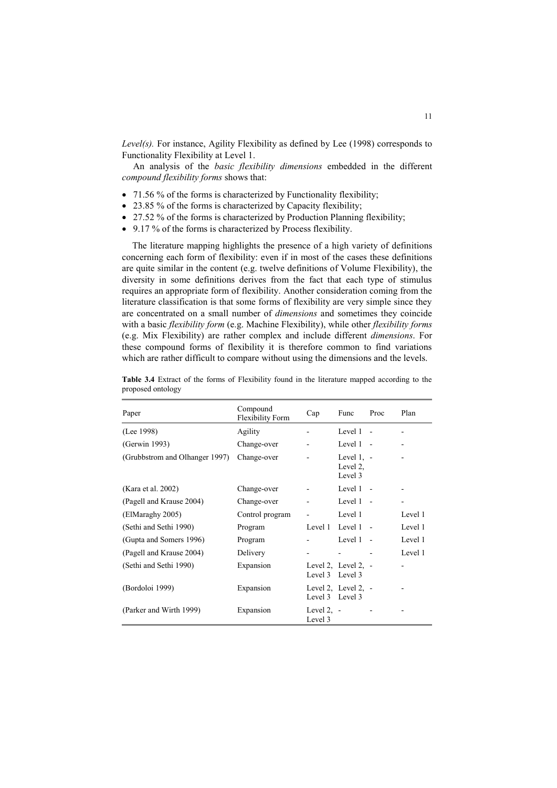*Level(s).* For instance, Agility Flexibility as defined by Lee (1998) corresponds to Functionality Flexibility at Level 1.

An analysis of the *basic flexibility dimensions* embedded in the different *compound flexibility forms* shows that:

- 71.56 % of the forms is characterized by Functionality flexibility;
- 23.85 % of the forms is characterized by Capacity flexibility;
- 27.52 % of the forms is characterized by Production Planning flexibility;
- 9.17 % of the forms is characterized by Process flexibility.

The literature mapping highlights the presence of a high variety of definitions concerning each form of flexibility: even if in most of the cases these definitions are quite similar in the content (e.g. twelve definitions of Volume Flexibility), the diversity in some definitions derives from the fact that each type of stimulus requires an appropriate form of flexibility. Another consideration coming from the literature classification is that some forms of flexibility are very simple since they are concentrated on a small number of *dimensions* and sometimes they coincide with a basic *flexibility form* (e.g. Machine Flexibility), while other *flexibility forms* (e.g. Mix Flexibility) are rather complex and include different *dimensions*. For these compound forms of flexibility it is therefore common to find variations which are rather difficult to compare without using the dimensions and the levels.

| Paper                          | Compound<br><b>Flexibility Form</b> | Cap                          | Func                                   | Proc | Plan    |
|--------------------------------|-------------------------------------|------------------------------|----------------------------------------|------|---------|
| (Lee 1998)                     | Agility                             |                              | Level 1 -                              |      |         |
| (Gerwin 1993)                  | Change-over                         | $\qquad \qquad \blacksquare$ | Level 1 -                              |      |         |
| (Grubbstrom and Olhanger 1997) | Change-over                         |                              | Level $1$ , $-$<br>Level 2.<br>Level 3 |      |         |
| (Kara et al. 2002)             | Change-over                         |                              | Level 1 -                              |      |         |
| (Pagell and Krause 2004)       | Change-over                         |                              | Level $1 -$                            |      |         |
| (ElMaraghy 2005)               | Control program                     |                              | Level 1                                |      | Level 1 |
| (Sethi and Sethi 1990)         | Program                             | Level 1                      | Level 1 -                              |      | Level 1 |
| (Gupta and Somers 1996)        | Program                             |                              | Level 1 -                              |      | Level 1 |
| (Pagell and Krause 2004)       | Delivery                            |                              | $\qquad \qquad \blacksquare$           |      | Level 1 |
| (Sethi and Sethi 1990)         | Expansion                           | Level 3 Level 3              | Level 2, Level $2$ , $-$               |      |         |
| (Bordoloi 1999)                | Expansion                           | Level 3 Level 3              | Level 2, Level $2$ , $-$               |      |         |
| (Parker and Wirth 1999)        | Expansion                           | Level $2$ , $-$<br>Level 3   |                                        |      |         |

**Table 3.4** Extract of the forms of Flexibility found in the literature mapped according to the proposed ontology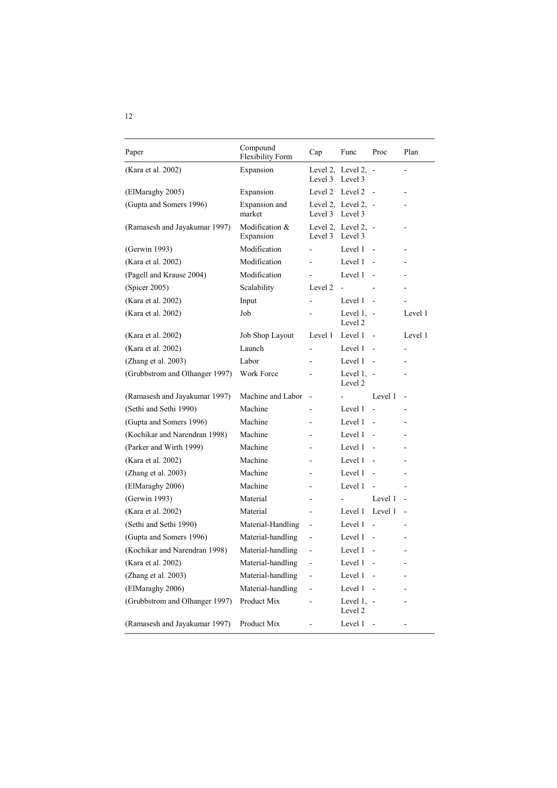| Paper                          | Compound<br><b>Flexibility Form</b>  | Cap                | Func                     | Proc                     | Plan           |
|--------------------------------|--------------------------------------|--------------------|--------------------------|--------------------------|----------------|
| (Kara et al. 2002)             | Expansion                            |                    | Level 2, Level 2, -      |                          |                |
| (ElMaraghy 2005)               |                                      | Level 3<br>Level 2 | Level 3<br>Level 2       |                          |                |
| (Gupta and Somers 1996)        | Expansion<br>Expansion and<br>market | Level 3 Level 3    | Level 2, Level $2$ , $-$ |                          |                |
| (Ramasesh and Jayakumar 1997)  | Modification &<br>Expansion          | Level 3 Level 3    | Level 2, Level $2$ , $-$ |                          |                |
| (Gerwin 1993)                  | Modification                         |                    | Level 1                  | $\overline{\phantom{a}}$ | ۰              |
| (Kara et al. 2002)             | Modification                         |                    | Level 1                  | $\frac{1}{2}$            |                |
| (Pagell and Krause 2004)       | Modification                         |                    | Level 1                  | $\frac{1}{2}$            | ۰              |
| (Spicer 2005)                  | Scalability                          | Level 2            |                          |                          |                |
| (Kara et al. 2002)             |                                      |                    | Level 1                  | $\sim$                   |                |
|                                | Input                                |                    |                          |                          |                |
| (Kara et al. 2002)             | Job                                  |                    | Level $1, -$<br>Level 2  |                          | Level 1        |
| (Kara et al. 2002)             | Job Shop Layout                      | Level 1            | Level 1                  |                          | Level 1        |
| (Kara et al. 2002)             | Launch                               |                    | Level 1                  |                          |                |
| (Zhang et al. $2003$ )         | Labor                                |                    | Level 1                  | $\blacksquare$           |                |
| (Grubbstrom and Olhanger 1997) | Work Force                           |                    | Level $1, -$<br>Level 2  |                          |                |
| (Ramasesh and Jayakumar 1997)  | Machine and Labor                    |                    |                          | Level 1                  | $\overline{a}$ |
| (Sethi and Sethi 1990)         | Machine                              | ۰                  | Level 1                  |                          |                |
| (Gupta and Somers 1996)        | Machine                              |                    | Level 1                  | $\overline{a}$           |                |
| (Kochikar and Narendran 1998)  | Machine                              |                    | Level 1                  | $\frac{1}{2}$            | ٠              |
| (Parker and Wirth 1999)        | Machine                              |                    | Level 1                  | $\frac{1}{2}$            |                |
| (Kara et al. 2002)             | Machine                              |                    | Level 1                  | $\frac{1}{2}$            | ۰              |
| (Zhang et al. 2003)            | Machine                              |                    | Level 1                  |                          |                |
| (ElMaraghy 2006)               | Machine                              |                    | Level 1                  |                          | $\blacksquare$ |
| (Gerwin 1993)                  | Material                             | ۰                  |                          | Level 1                  | $\blacksquare$ |
| (Kara et al. 2002)             | Material                             |                    | Level 1                  | Level 1                  | $\blacksquare$ |
| (Sethi and Sethi 1990)         | Material-Handling                    | $\overline{a}$     | Level 1                  | $\blacksquare$           | ۰              |
| (Gupta and Somers 1996)        | Material-handling                    |                    | Level 1                  |                          |                |
| (Kochikar and Narendran 1998)  | Material-handling                    |                    | Level 1                  | $\overline{a}$           | $\blacksquare$ |
| (Kara et al. 2002)             | Material-handling                    |                    | Level 1                  |                          |                |
| (Zhang et al. 2003)            | Material-handling                    |                    | Level 1                  |                          |                |
| (ElMaraghy 2006)               | Material-handling                    |                    | Level 1                  |                          |                |
| (Grubbstrom and Olhanger 1997) | Product Mix                          |                    | Level $1, -$<br>Level 2  |                          |                |
| (Ramasesh and Jayakumar 1997)  | Product Mix                          |                    | Level 1                  |                          |                |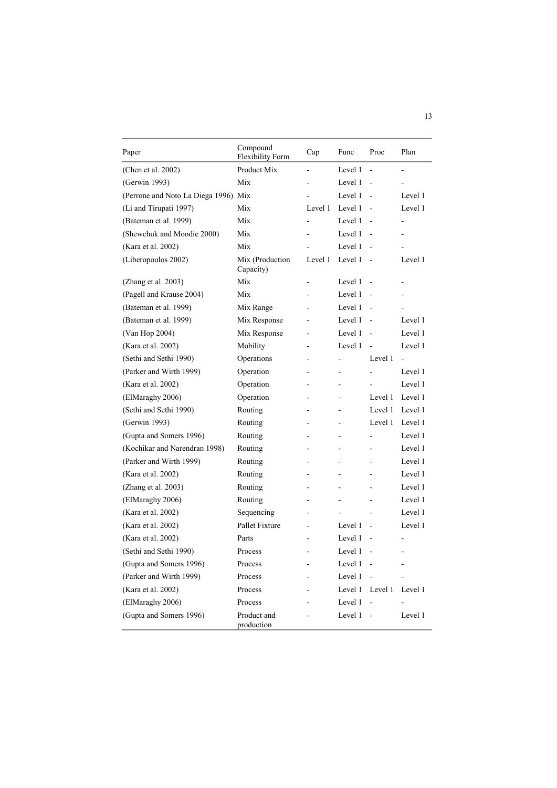| Paper                                | Compound<br><b>Flexibility Form</b> | Cap            | Func           | Proc                     | Plan           |
|--------------------------------------|-------------------------------------|----------------|----------------|--------------------------|----------------|
| (Chen et al. 2002)                   | Product Mix                         | ÷,             | Level 1        | $\blacksquare$           |                |
| (Gerwin 1993)                        | Mix                                 |                | Level 1        | $\ddot{\phantom{1}}$     |                |
| (Perrone and Noto La Diega 1996) Mix |                                     |                | Level 1        | $\overline{a}$           | Level 1        |
| (Li and Tirupati 1997)               | Mix                                 | Level 1        | Level 1        | $\overline{a}$           | Level 1        |
| (Bateman et al. 1999)                | Mix                                 |                | Level 1        | $\ddot{\phantom{1}}$     |                |
| (Shewchuk and Moodie 2000)           | Mix                                 |                | Level 1        | $\blacksquare$           |                |
| (Kara et al. 2002)                   | Mix                                 |                | Level 1        |                          |                |
| (Liberopoulos 2002)                  | Mix (Production<br>Capacity)        | Level 1        | Level 1        |                          | Level 1        |
| (Zhang et al. 2003)                  | Mix                                 |                | Level 1        | $\blacksquare$           |                |
| (Pagell and Krause 2004)             | Mix                                 |                | Level 1        |                          |                |
| (Bateman et al. 1999)                | Mix Range                           | $\blacksquare$ | Level 1        | $\overline{a}$           |                |
| (Bateman et al. 1999)                | Mix Response                        | ÷,             | Level 1        | $\overline{\phantom{a}}$ | Level 1        |
| (Van Hop 2004)                       | Mix Response                        | $\blacksquare$ | Level 1        | $\overline{\phantom{a}}$ | Level 1        |
| (Kara et al. 2002)                   | Mobility                            | $\blacksquare$ | Level 1        | $\ddot{\phantom{1}}$     | Level 1        |
| (Sethi and Sethi 1990)               | Operations                          |                |                | Level 1                  | $\overline{a}$ |
| (Parker and Wirth 1999)              | Operation                           | $\overline{a}$ |                |                          | Level 1        |
| (Kara et al. 2002)                   | Operation                           |                | ٠              |                          | Level 1        |
| (ElMaraghy 2006)                     | Operation                           |                |                | Level 1                  | Level 1        |
| (Sethi and Sethi 1990)               | Routing                             | $\blacksquare$ | ٠              | Level 1                  | Level 1        |
| (Gerwin 1993)                        | Routing                             | $\blacksquare$ | $\blacksquare$ | Level 1                  | Level 1        |
| (Gupta and Somers 1996)              | Routing                             | ۰              | ٠              |                          | Level 1        |
| (Kochikar and Narendran 1998)        | Routing                             |                |                |                          | Level 1        |
| (Parker and Wirth 1999)              | Routing                             |                |                |                          | Level 1        |
| (Kara et al. 2002)                   | Routing                             |                | ٠              |                          | Level 1        |
| (Zhang et al. 2003)                  | Routing                             | ä,             |                |                          | Level 1        |
| (ElMaraghy 2006)                     | Routing                             | $\blacksquare$ |                | $\blacksquare$           | Level 1        |
| (Kara et al. 2002)                   | Sequencing                          | $\blacksquare$ |                | ä,                       | Level 1        |
| (Kara et al. 2002)                   | Pallet Fixture                      | $\blacksquare$ | Level 1        | $\overline{\phantom{a}}$ | Level 1        |
| (Kara et al. 2002)                   | Parts                               |                | Level 1        |                          |                |
| (Sethi and Sethi 1990)               | Process                             |                | Level 1        |                          |                |
| (Gupta and Somers 1996)              | Process                             |                | Level 1        |                          |                |
| (Parker and Wirth 1999)              | Process                             |                | Level 1        |                          |                |
| (Kara et al. 2002)                   | Process                             |                | Level 1        | Level 1                  | Level 1        |
| (ElMaraghy 2006)                     | Process                             |                | Level 1        |                          |                |
| (Gupta and Somers 1996)              | Product and<br>production           |                | Level 1        |                          | Level 1        |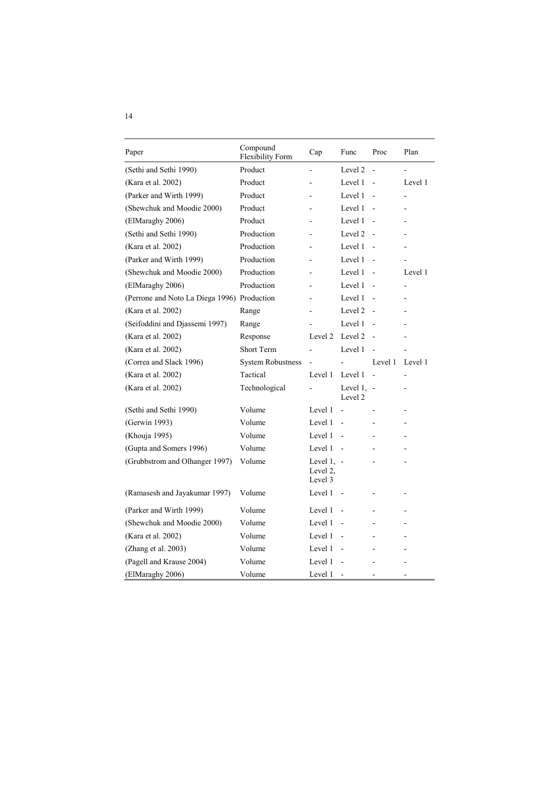| Paper                                       | Compound<br><b>Flexibility Form</b> | Cap                                  | Func                       | Proc           | Plan           |
|---------------------------------------------|-------------------------------------|--------------------------------------|----------------------------|----------------|----------------|
| (Sethi and Sethi 1990)                      | Product                             | ä,                                   | Level 2                    | $\overline{a}$ |                |
| (Kara et al. 2002)                          | Product                             | ä,                                   | Level 1                    | $\overline{a}$ | Level 1        |
| (Parker and Wirth 1999)                     | Product                             |                                      | Level 1                    |                |                |
| (Shewchuk and Moodie 2000)                  | Product                             |                                      | Level 1                    | $\blacksquare$ |                |
| (ElMaraghy 2006)                            | Product                             | $\overline{\phantom{0}}$             | Level 1                    | $\blacksquare$ | ä,             |
| (Sethi and Sethi 1990)                      | Production                          | ä,                                   | Level 2                    | $\overline{a}$ | ä,             |
| (Kara et al. 2002)                          | Production                          | ä,                                   | Level 1                    | $\blacksquare$ |                |
| (Parker and Wirth 1999)                     | Production                          | ä,                                   | Level 1                    | $\overline{a}$ |                |
| (Shewchuk and Moodie 2000)                  | Production                          |                                      | Level 1                    | $\overline{a}$ | Level 1        |
| (ElMaraghy 2006)                            | Production                          |                                      | Level 1                    |                |                |
| (Perrone and Noto La Diega 1996) Production |                                     |                                      | Level 1                    | $\blacksquare$ |                |
| (Kara et al. 2002)                          | Range                               |                                      | Level 2                    | $\overline{a}$ |                |
| (Seifoddini and Djassemi 1997)              | Range                               |                                      | Level 1                    | $\sim$         | ۰              |
| (Kara et al. 2002)                          | Response                            | Level 2                              | Level 2                    | $\overline{a}$ | $\overline{a}$ |
| (Kara et al. 2002)                          | Short Term                          |                                      | Level 1                    | $\overline{a}$ |                |
| (Correa and Slack 1996)                     | <b>System Robustness</b>            | $\overline{a}$                       |                            | Level 1        | Level 1        |
| (Kara et al. 2002)                          | Tactical                            | Level 1                              | Level 1                    | $\overline{a}$ |                |
| (Kara et al. 2002)                          | Technological                       |                                      | Level $1$ , $-$<br>Level 2 |                |                |
| (Sethi and Sethi 1990)                      | Volume                              | Level 1                              | $\overline{a}$             | ä,             | ٠              |
| (Gerwin 1993)                               | Volume                              | Level 1                              | $\overline{a}$             |                |                |
| (Khouja 1995)                               | Volume                              | Level 1                              | $\overline{a}$             |                | $\blacksquare$ |
| (Gupta and Somers 1996)                     | Volume                              | Level 1                              | $\sim$                     |                | $\overline{a}$ |
| (Grubbstrom and Olhanger 1997)              | Volume                              | Level $1$ . -<br>Level 2,<br>Level 3 |                            |                |                |
| (Ramasesh and Jayakumar 1997)               | Volume                              | Level 1                              | $\sim$                     |                |                |
| (Parker and Wirth 1999)                     | Volume                              | Level 1                              | $\bar{\phantom{a}}$        |                |                |
| (Shewchuk and Moodie 2000)                  | Volume                              | Level 1                              | $\frac{1}{2}$              |                |                |
| (Kara et al. 2002)                          | Volume                              | Level 1                              | $\overline{a}$             | ٠              | $\overline{a}$ |
| (Zhang et al. 2003)                         | Volume                              | Level 1                              | $\overline{a}$             |                |                |
| (Pagell and Krause 2004)                    | Volume                              | Level 1                              | $\overline{a}$             |                |                |
| (ElMaraghy 2006)                            | Volume                              | Level 1                              | L.                         | $\blacksquare$ | $\blacksquare$ |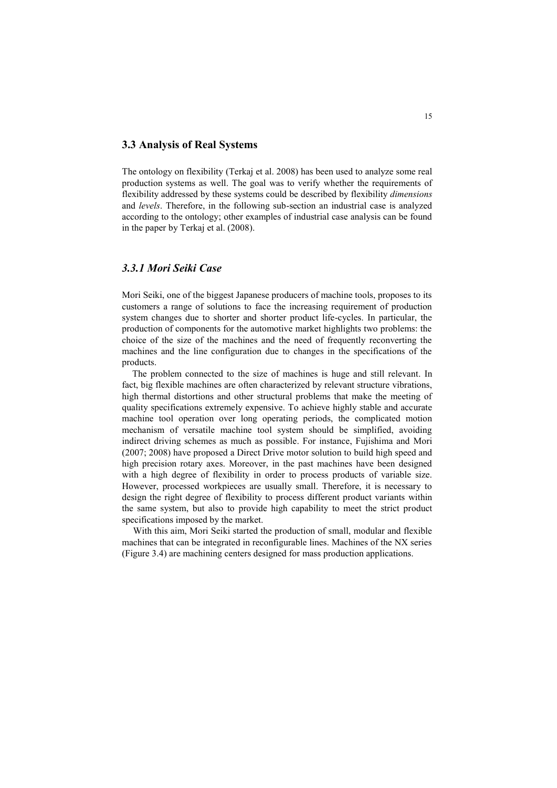#### **3.3 Analysis of Real Systems**

The ontology on flexibility (Terkaj et al. 2008) has been used to analyze some real production systems as well. The goal was to verify whether the requirements of flexibility addressed by these systems could be described by flexibility *dimensions* and *levels*. Therefore, in the following sub-section an industrial case is analyzed according to the ontology; other examples of industrial case analysis can be found in the paper by Terkaj et al. (2008).

# *3.3.1 Mori Seiki Case*

Mori Seiki, one of the biggest Japanese producers of machine tools, proposes to its customers a range of solutions to face the increasing requirement of production system changes due to shorter and shorter product life-cycles. In particular, the production of components for the automotive market highlights two problems: the choice of the size of the machines and the need of frequently reconverting the machines and the line configuration due to changes in the specifications of the products.

The problem connected to the size of machines is huge and still relevant. In fact, big flexible machines are often characterized by relevant structure vibrations, high thermal distortions and other structural problems that make the meeting of quality specifications extremely expensive. To achieve highly stable and accurate machine tool operation over long operating periods, the complicated motion mechanism of versatile machine tool system should be simplified, avoiding indirect driving schemes as much as possible. For instance, Fujishima and Mori (2007; 2008) have proposed a Direct Drive motor solution to build high speed and high precision rotary axes. Moreover, in the past machines have been designed with a high degree of flexibility in order to process products of variable size. However, processed workpieces are usually small. Therefore, it is necessary to design the right degree of flexibility to process different product variants within the same system, but also to provide high capability to meet the strict product specifications imposed by the market.

With this aim, Mori Seiki started the production of small, modular and flexible machines that can be integrated in reconfigurable lines. Machines of the NX series (Figure 3.4) are machining centers designed for mass production applications.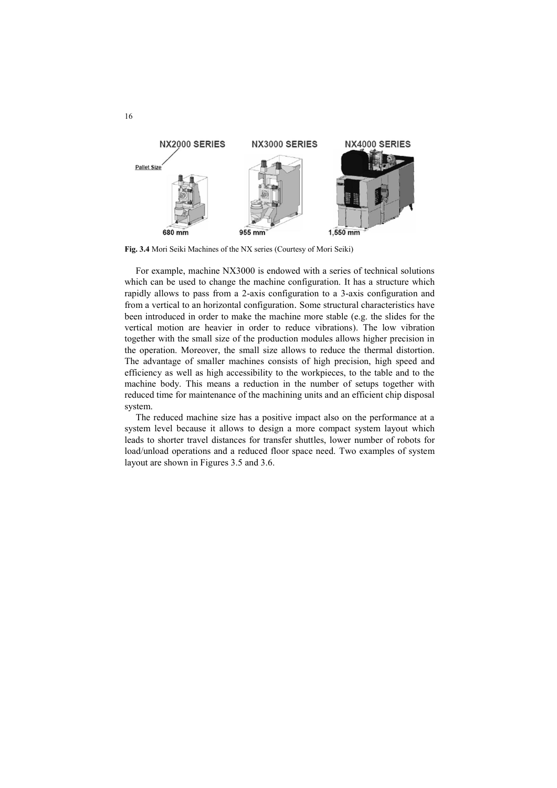

**Fig. 3.4** Mori Seiki Machines of the NX series (Courtesy of Mori Seiki)

For example, machine NX3000 is endowed with a series of technical solutions which can be used to change the machine configuration. It has a structure which rapidly allows to pass from a 2-axis configuration to a 3-axis configuration and from a vertical to an horizontal configuration. Some structural characteristics have been introduced in order to make the machine more stable (e.g. the slides for the vertical motion are heavier in order to reduce vibrations). The low vibration together with the small size of the production modules allows higher precision in the operation. Moreover, the small size allows to reduce the thermal distortion. The advantage of smaller machines consists of high precision, high speed and efficiency as well as high accessibility to the workpieces, to the table and to the machine body. This means a reduction in the number of setups together with reduced time for maintenance of the machining units and an efficient chip disposal system.

The reduced machine size has a positive impact also on the performance at a system level because it allows to design a more compact system layout which leads to shorter travel distances for transfer shuttles, lower number of robots for load/unload operations and a reduced floor space need. Two examples of system layout are shown in Figures 3.5 and 3.6.

16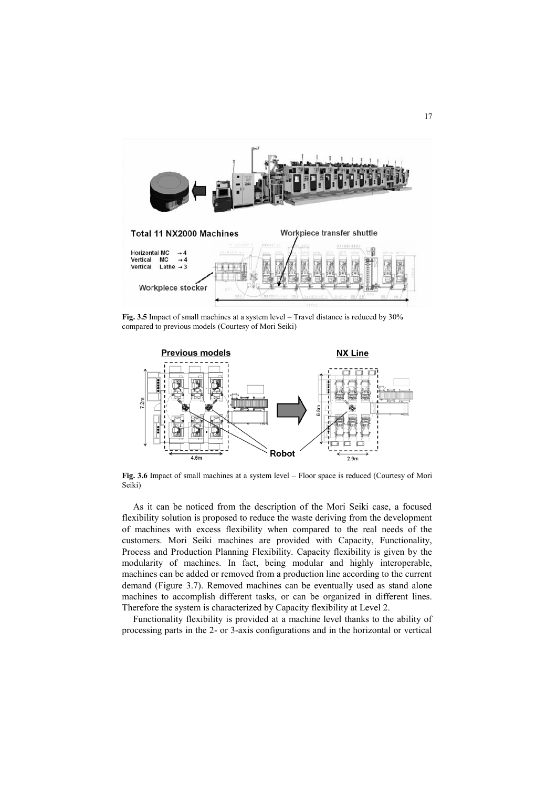

**Fig. 3.5** Impact of small machines at a system level – Travel distance is reduced by 30% compared to previous models (Courtesy of Mori Seiki)



**Fig. 3.6** Impact of small machines at a system level – Floor space is reduced (Courtesy of Mori Seiki)

As it can be noticed from the description of the Mori Seiki case, a focused flexibility solution is proposed to reduce the waste deriving from the development of machines with excess flexibility when compared to the real needs of the customers. Mori Seiki machines are provided with Capacity, Functionality, Process and Production Planning Flexibility. Capacity flexibility is given by the modularity of machines. In fact, being modular and highly interoperable, machines can be added or removed from a production line according to the current demand (Figure 3.7). Removed machines can be eventually used as stand alone machines to accomplish different tasks, or can be organized in different lines. Therefore the system is characterized by Capacity flexibility at Level 2.

Functionality flexibility is provided at a machine level thanks to the ability of processing parts in the 2- or 3-axis configurations and in the horizontal or vertical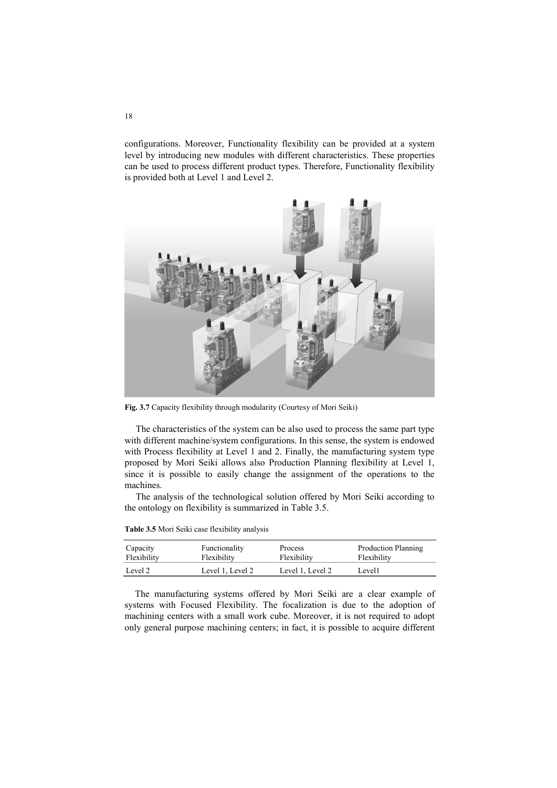configurations. Moreover, Functionality flexibility can be provided at a system level by introducing new modules with different characteristics. These properties can be used to process different product types. Therefore, Functionality flexibility is provided both at Level 1 and Level 2.



**Fig. 3.7** Capacity flexibility through modularity (Courtesy of Mori Seiki)

The characteristics of the system can be also used to process the same part type with different machine/system configurations. In this sense, the system is endowed with Process flexibility at Level 1 and 2. Finally, the manufacturing system type proposed by Mori Seiki allows also Production Planning flexibility at Level 1, since it is possible to easily change the assignment of the operations to the machines.

The analysis of the technological solution offered by Mori Seiki according to the ontology on flexibility is summarized in Table 3.5.

**Table 3.5** Mori Seiki case flexibility analysis

| Capacity    | Functionality    | Process          | <b>Production Planning</b> |
|-------------|------------------|------------------|----------------------------|
| Flexibility | Flexibility      | Flexibility      | Flexibility                |
| Level 2     | Level 1, Level 2 | Level 1, Level 2 | Level1                     |

The manufacturing systems offered by Mori Seiki are a clear example of systems with Focused Flexibility. The focalization is due to the adoption of machining centers with a small work cube. Moreover, it is not required to adopt only general purpose machining centers; in fact, it is possible to acquire different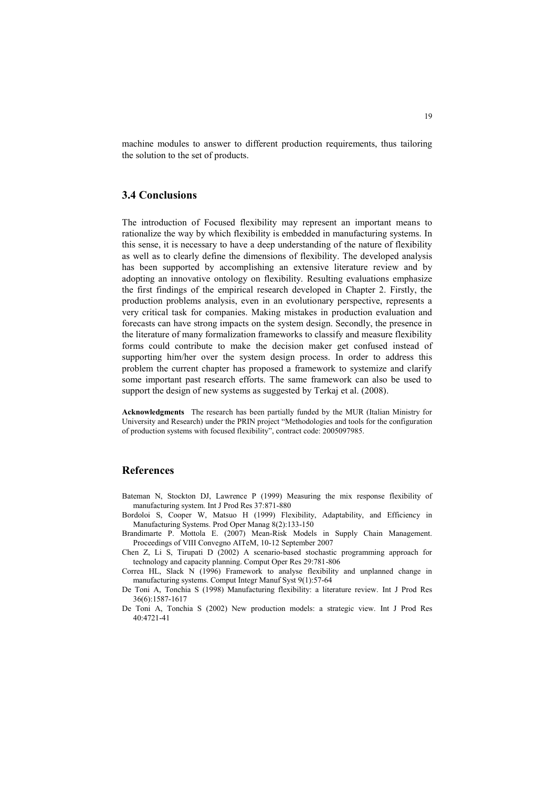machine modules to answer to different production requirements, thus tailoring the solution to the set of products.

# **3.4 Conclusions**

The introduction of Focused flexibility may represent an important means to rationalize the way by which flexibility is embedded in manufacturing systems. In this sense, it is necessary to have a deep understanding of the nature of flexibility as well as to clearly define the dimensions of flexibility. The developed analysis has been supported by accomplishing an extensive literature review and by adopting an innovative ontology on flexibility. Resulting evaluations emphasize the first findings of the empirical research developed in Chapter 2. Firstly, the production problems analysis, even in an evolutionary perspective, represents a very critical task for companies. Making mistakes in production evaluation and forecasts can have strong impacts on the system design. Secondly, the presence in the literature of many formalization frameworks to classify and measure flexibility forms could contribute to make the decision maker get confused instead of supporting him/her over the system design process. In order to address this problem the current chapter has proposed a framework to systemize and clarify some important past research efforts. The same framework can also be used to support the design of new systems as suggested by Terkaj et al. (2008).

**Acknowledgments** The research has been partially funded by the MUR (Italian Ministry for University and Research) under the PRIN project "Methodologies and tools for the configuration of production systems with focused flexibility", contract code: 2005097985.

# **References**

- Bateman N, Stockton DJ, Lawrence P (1999) Measuring the mix response flexibility of manufacturing system. Int J Prod Res 37:871-880
- Bordoloi S, Cooper W, Matsuo H (1999) Flexibility, Adaptability, and Efficiency in Manufacturing Systems. Prod Oper Manag 8(2):133-150
- Brandimarte P. Mottola E. (2007) Mean-Risk Models in Supply Chain Management. Proceedings of VIII Convegno AITeM, 10-12 September 2007
- Chen Z, Li S, Tirupati D (2002) A scenario-based stochastic programming approach for technology and capacity planning. Comput Oper Res 29:781-806
- Correa HL, Slack N (1996) Framework to analyse flexibility and unplanned change in manufacturing systems. Comput Integr Manuf Syst 9(1):57-64
- De Toni A, Tonchia S (1998) Manufacturing flexibility: a literature review. Int J Prod Res 36(6):1587-1617
- De Toni A, Tonchia S (2002) New production models: a strategic view. Int J Prod Res 40:4721-41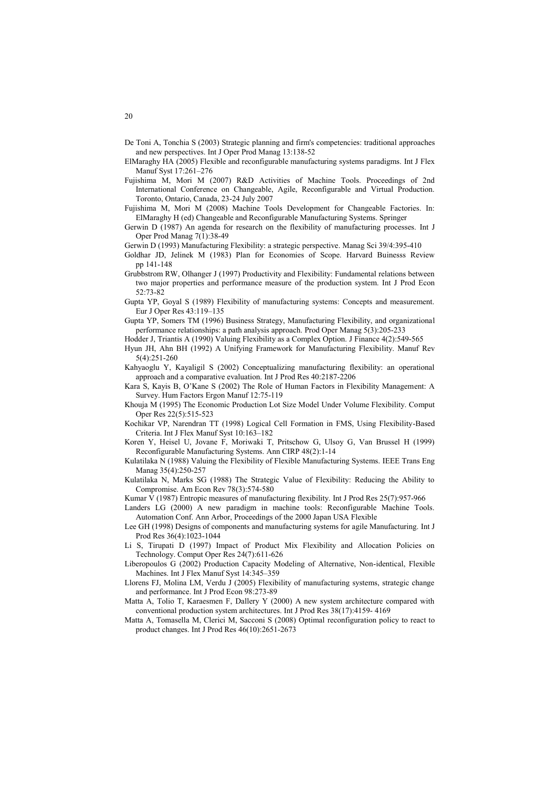- De Toni A, Tonchia S (2003) Strategic planning and firm's competencies: traditional approaches and new perspectives. Int J Oper Prod Manag 13:138-52
- ElMaraghy HA (2005) Flexible and reconfigurable manufacturing systems paradigms. Int J Flex Manuf Syst 17:261–276
- Fujishima M, Mori M (2007) R&D Activities of Machine Tools. Proceedings of 2nd International Conference on Changeable, Agile, Reconfigurable and Virtual Production. Toronto, Ontario, Canada, 23-24 July 2007
- Fujishima M, Mori M (2008) Machine Tools Development for Changeable Factories. In: ElMaraghy H (ed) Changeable and Reconfigurable Manufacturing Systems. Springer
- Gerwin D (1987) An agenda for research on the flexibility of manufacturing processes. Int J Oper Prod Manag 7(1):38-49
- Gerwin D (1993) Manufacturing Flexibility: a strategic perspective. Manag Sci 39/4:395-410
- Goldhar JD, Jelinek M (1983) Plan for Economies of Scope. Harvard Buinesss Review pp 141-148
- Grubbstrom RW, Olhanger J (1997) Productivity and Flexibility: Fundamental relations between two major properties and performance measure of the production system. Int J Prod Econ 52:73-82
- Gupta YP, Goyal S (1989) Flexibility of manufacturing systems: Concepts and measurement. Eur J Oper Res 43:119–135
- Gupta YP, Somers TM (1996) Business Strategy, Manufacturing Flexibility, and organizational performance relationships: a path analysis approach. Prod Oper Manag 5(3):205-233
- Hodder J, Triantis A (1990) Valuing Flexibility as a Complex Option. J Finance 4(2):549-565
- Hyun JH, Ahn BH (1992) A Unifying Framework for Manufacturing Flexibility. Manuf Rev 5(4):251-260
- Kahyaoglu Y, Kayaligil S (2002) Conceptualizing manufacturing flexibility: an operational approach and a comparative evaluation. Int J Prod Res 40:2187-2206
- Kara S, Kayis B, O'Kane S (2002) The Role of Human Factors in Flexibility Management: A Survey. Hum Factors Ergon Manuf 12:75-119
- Khouja M (1995) The Economic Production Lot Size Model Under Volume Flexibility. Comput Oper Res 22(5):515-523
- Kochikar VP, Narendran TT (1998) Logical Cell Formation in FMS, Using Flexibility-Based Criteria. Int J Flex Manuf Syst 10:163–182
- Koren Y, Heisel U, Jovane F, Moriwaki T, Pritschow G, Ulsoy G, Van Brussel H (1999) Reconfigurable Manufacturing Systems. Ann CIRP 48(2):1-14
- Kulatilaka N (1988) Valuing the Flexibility of Flexible Manufacturing Systems. IEEE Trans Eng Manag 35(4):250-257
- Kulatilaka N, Marks SG (1988) The Strategic Value of Flexibility: Reducing the Ability to Compromise. Am Econ Rev 78(3):574-580

Kumar V (1987) Entropic measures of manufacturing flexibility. Int J Prod Res 25(7):957-966

- Landers LG (2000) A new paradigm in machine tools: Reconfigurable Machine Tools. Automation Conf. Ann Arbor, Proceedings of the 2000 Japan USA Flexible
- Lee GH (1998) Designs of components and manufacturing systems for agile Manufacturing. Int J Prod Res 36(4):1023-1044
- Li S, Tirupati D (1997) Impact of Product Mix Flexibility and Allocation Policies on Technology. Comput Oper Res 24(7):611-626
- Liberopoulos G (2002) Production Capacity Modeling of Alternative, Non-identical, Flexible Machines. Int J Flex Manuf Syst 14:345–359
- Llorens FJ, Molina LM, Verdu J (2005) Flexibility of manufacturing systems, strategic change and performance. Int J Prod Econ 98:273-89
- Matta A, Tolio T, Karaesmen F, Dallery Y (2000) A new system architecture compared with conventional production system architectures. Int J Prod Res 38(17):4159- 4169
- Matta A, Tomasella M, Clerici M, Sacconi S (2008) Optimal reconfiguration policy to react to product changes. Int J Prod Res 46(10):2651-2673